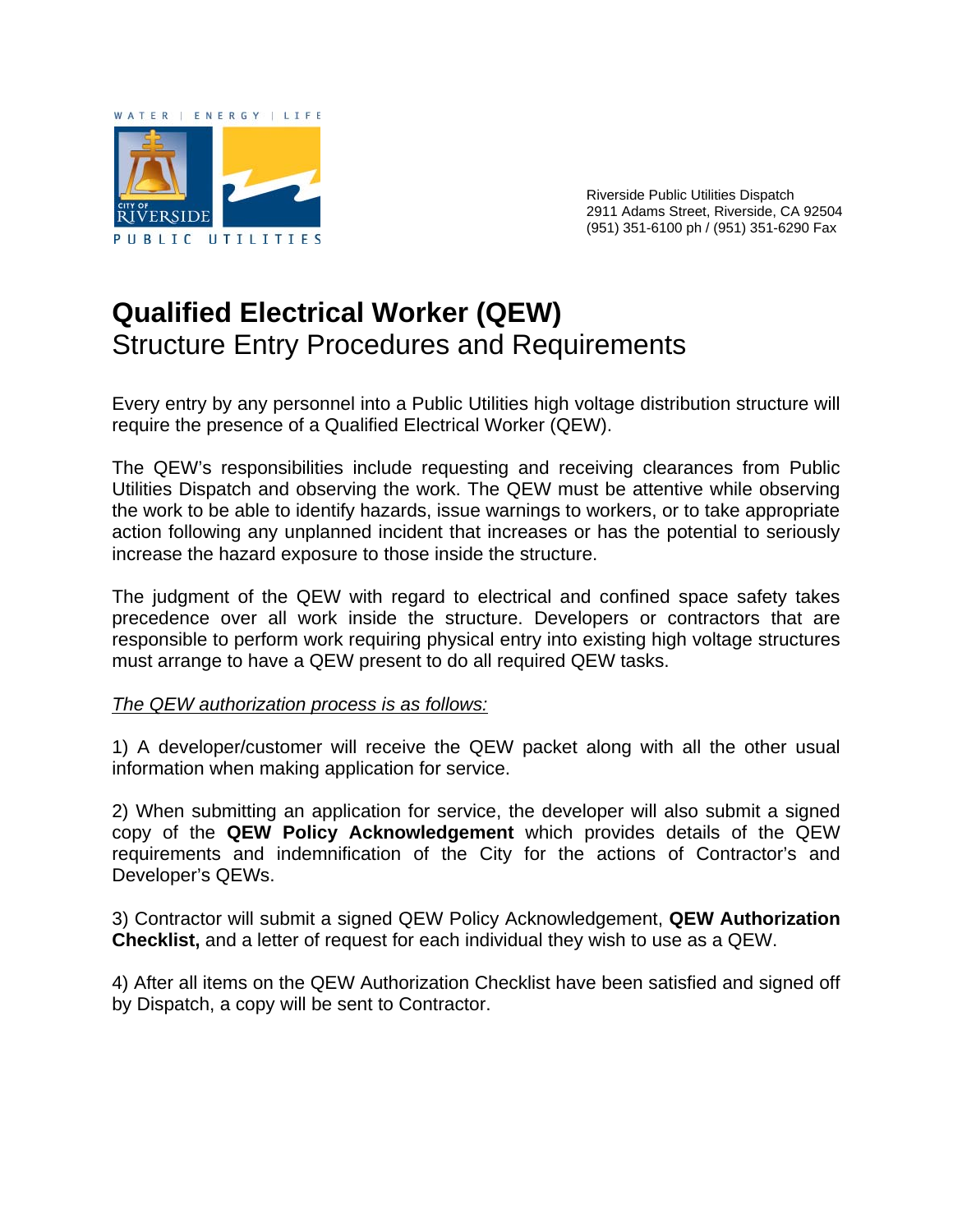

Riverside Public Utilities Dispatch 2911 Adams Street, Riverside, CA 92504 (951) 351-6100 ph / (951) 351-6290 Fax

## **Qualified Electrical Worker (QEW)**  Structure Entry Procedures and Requirements

Every entry by any personnel into a Public Utilities high voltage distribution structure will require the presence of a Qualified Electrical Worker (QEW).

The QEW's responsibilities include requesting and receiving clearances from Public Utilities Dispatch and observing the work. The QEW must be attentive while observing the work to be able to identify hazards, issue warnings to workers, or to take appropriate action following any unplanned incident that increases or has the potential to seriously increase the hazard exposure to those inside the structure.

The judgment of the QEW with regard to electrical and confined space safety takes precedence over all work inside the structure. Developers or contractors that are responsible to perform work requiring physical entry into existing high voltage structures must arrange to have a QEW present to do all required QEW tasks.

## *The QEW authorization process is as follows:*

1) A developer/customer will receive the QEW packet along with all the other usual information when making application for service.

2) When submitting an application for service, the developer will also submit a signed copy of the **QEW Policy Acknowledgement** which provides details of the QEW requirements and indemnification of the City for the actions of Contractor's and Developer's QEWs.

3) Contractor will submit a signed QEW Policy Acknowledgement, **QEW Authorization Checklist,** and a letter of request for each individual they wish to use as a QEW.

4) After all items on the QEW Authorization Checklist have been satisfied and signed off by Dispatch, a copy will be sent to Contractor.